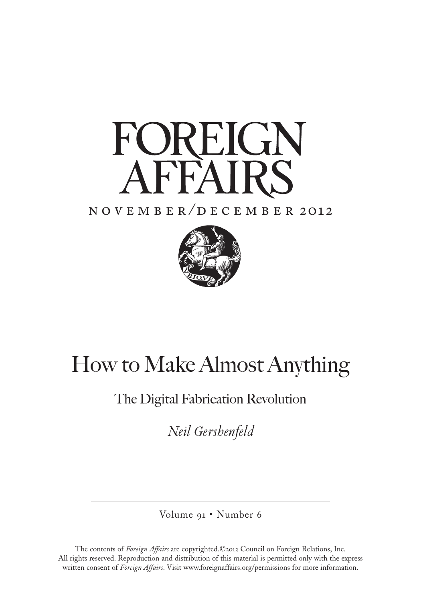

## n o v e m b e r / d e c e m b e r 2o12



# How to Make Almost Anything

## The Digital Fabrication Revolution

*Neil Gershenfeld* 

Volume 91 • Number 6

The contents of *Foreign Affairs* are copyrighted.©2o12 Council on Foreign Relations, Inc. All rights reserved. Reproduction and distribution of this material is permitted only with the express written consent of *Foreign Affairs*. Visit www.foreignaffairs.org/permissions for more information.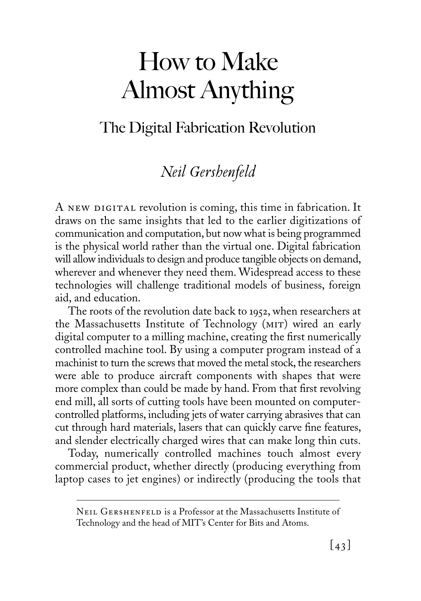# The Digital Fabrication Revolution

## *Neil Gershenfeld*

A NEW DIGITAL revolution is coming, this time in fabrication. It draws on the same insights that led to the earlier digitizations of communication and computation, but now what is being programmed is the physical world rather than the virtual one. Digital fabrication will allow individuals to design and produce tangible objects on demand, wherever and whenever they need them. Widespread access to these technologies will challenge traditional models of business, foreign aid, and education.

The roots of the revolution date back to 1952, when researchers at the Massachusetts Institute of Technology (mit) wired an early digital computer to a milling machine, creating the first numerically controlled machine tool. By using a computer program instead of a machinist to turn the screws that moved the metal stock, the researchers were able to produce aircraft components with shapes that were more complex than could be made by hand. From that first revolving end mill, all sorts of cutting tools have been mounted on computercontrolled platforms, including jets of water carrying abrasives that can cut through hard materials, lasers that can quickly carve fine features, and slender electrically charged wires that can make long thin cuts.

Today, numerically controlled machines touch almost every commercial product, whether directly (producing everything from laptop cases to jet engines) or indirectly (producing the tools that

Neil Gershenfeld is a Professor at the Massachusetts Institute of Technology and the head of MIT's Center for Bits and Atoms.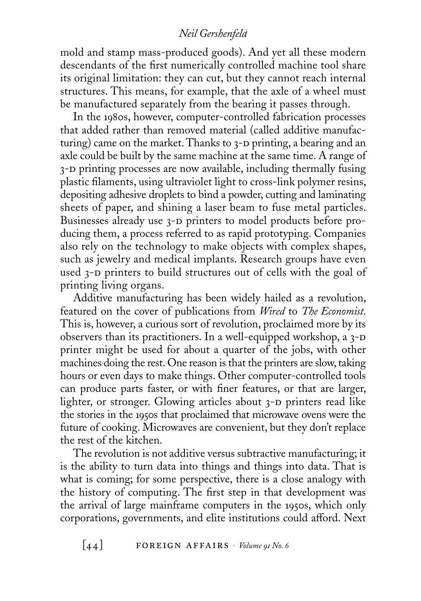mold and stamp mass-produced goods). And yet all these modern descendants of the first numerically controlled machine tool share its original limitation: they can cut, but they cannot reach internal structures. This means, for example, that the axle of a wheel must be manufactured separately from the bearing it passes through.

In the 1980s, however, computer-controlled fabrication processes that added rather than removed material (called additive manufacturing) came on the market. Thanks to  $3-D$  printing, a bearing and an axle could be built by the same machine at the same time. A range of 3-d printing processes are now available, including thermally fusing plastic filaments, using ultraviolet light to cross-link polymer resins, depositing adhesive droplets to bind a powder, cutting and laminating sheets of paper, and shining a laser beam to fuse metal particles. Businesses already use 3-D printers to model products before producing them, a process referred to as rapid prototyping. Companies also rely on the technology to make objects with complex shapes, such as jewelry and medical implants. Research groups have even used 3-D printers to build structures out of cells with the goal of printing living organs.

Additive manufacturing has been widely hailed as a revolution, featured on the cover of publications from *Wired* to *The Economist*. This is, however, a curious sort of revolution, proclaimed more by its observers than its practitioners. In a well-equipped workshop, a  $3-D$ printer might be used for about a quarter of the jobs, with other machines doing the rest. One reason is that the printers are slow, taking hours or even days to make things. Other computer-controlled tools can produce parts faster, or with finer features, or that are larger, lighter, or stronger. Glowing articles about 3-D printers read like the stories in the 1950s that proclaimed that microwave ovens were the future of cooking. Microwaves are convenient, but they don't replace the rest of the kitchen.

The revolution is not additive versus subtractive manufacturing; it is the ability to turn data into things and things into data. That is what is coming; for some perspective, there is a close analogy with the history of computing. The first step in that development was the arrival of large mainframe computers in the 1950s, which only corporations, governments, and elite institutions could afford. Next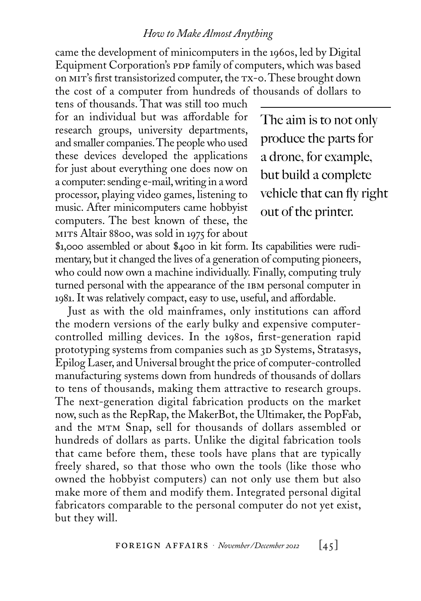came the development of minicomputers in the 1960s, led by Digital Equipment Corporation's PDP family of computers, which was based on mit's first transistorized computer, the tx-0. These brought down the cost of a computer from hundreds of thousands of dollars to

tens of thousands. That was still too much for an individual but was affordable for research groups, university departments, and smaller companies. The people who used these devices developed the applications for just about everything one does now on a computer: sending e-mail, writing in a word processor, playing video games, listening to music. After minicomputers came hobbyist computers. The best known of these, the mits Altair 8800, was sold in 1975 for about

The aim is to not only produce the parts for a drone, for example, but build a complete vehicle that can fly right out of the printer.

\$1,000 assembled or about \$400 in kit form. Its capabilities were rudimentary, but it changed the lives of a generation of computing pioneers, who could now own a machine individually. Finally, computing truly turned personal with the appearance of the IBM personal computer in 1981. It was relatively compact, easy to use, useful, and affordable.

Just as with the old mainframes, only institutions can afford the modern versions of the early bulky and expensive computercontrolled milling devices. In the 1980s, first-generation rapid prototyping systems from companies such as 3D Systems, Stratasys, Epilog Laser, and Universal brought the price of computer-controlled manufacturing systems down from hundreds of thousands of dollars to tens of thousands, making them attractive to research groups. The next-generation digital fabrication products on the market now, such as the RepRap, the MakerBot, the Ultimaker, the PopFab, and the mtm Snap, sell for thousands of dollars assembled or hundreds of dollars as parts. Unlike the digital fabrication tools that came before them, these tools have plans that are typically freely shared, so that those who own the tools (like those who owned the hobbyist computers) can not only use them but also make more of them and modify them. Integrated personal digital fabricators comparable to the personal computer do not yet exist, but they will.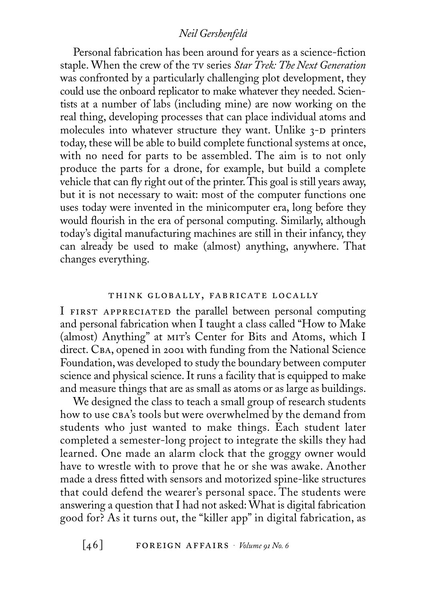Personal fabrication has been around for years as a science-fiction staple. When the crew of the tv series *Star Trek: The Next Generation* was confronted by a particularly challenging plot development, they could use the onboard replicator to make whatever they needed. Scientists at a number of labs (including mine) are now working on the real thing, developing processes that can place individual atoms and molecules into whatever structure they want. Unlike  $3-D$  printers today, these will be able to build complete functional systems at once, with no need for parts to be assembled. The aim is to not only produce the parts for a drone, for example, but build a complete vehicle that can fly right out of the printer. This goal is still years away, but it is not necessary to wait: most of the computer functions one uses today were invented in the minicomputer era, long before they would flourish in the era of personal computing. Similarly, although today's digital manufacturing machines are still in their infancy, they can already be used to make (almost) anything, anywhere. That changes everything.

#### think globally, fabricate locally

I FIRST APPRECIATED the parallel between personal computing and personal fabrication when I taught a class called "How to Make (almost) Anything" at mit's Center for Bits and Atoms, which I direct. CBA, opened in 2001 with funding from the National Science Foundation, was developed to study the boundary between computer science and physical science. It runs a facility that is equipped to make and measure things that are as small as atoms or as large as buildings.

We designed the class to teach a small group of research students how to use CBA's tools but were overwhelmed by the demand from students who just wanted to make things. Each student later completed a semester-long project to integrate the skills they had learned. One made an alarm clock that the groggy owner would have to wrestle with to prove that he or she was awake. Another made a dress fitted with sensors and motorized spine-like structures that could defend the wearer's personal space. The students were answering a question that I had not asked: What is digital fabrication good for? As it turns out, the "killer app" in digital fabrication, as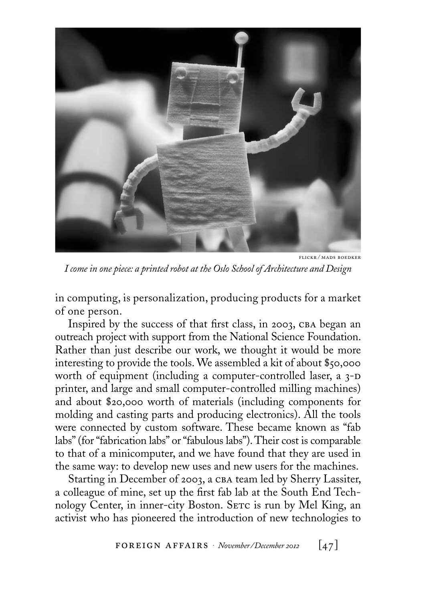

flickr / mads boedker

*I come in one piece: a printed robot at the Oslo School of Architecture and Design*

in computing, is personalization, producing products for a market of one person.

Inspired by the success of that first class, in 2003, CBA began an outreach project with support from the National Science Foundation. Rather than just describe our work, we thought it would be more interesting to provide the tools. We assembled a kit of about \$50,000 worth of equipment (including a computer-controlled laser, a 3-D printer, and large and small computer-controlled milling machines) and about \$20,000 worth of materials (including components for molding and casting parts and producing electronics). All the tools were connected by custom software. These became known as "fab labs" (for "fabrication labs" or "fabulous labs"). Their cost is comparable to that of a minicomputer, and we have found that they are used in the same way: to develop new uses and new users for the machines.

Starting in December of 2003, a CBA team led by Sherry Lassiter, a colleague of mine, set up the first fab lab at the South End Technology Center, in inner-city Boston. SETC is run by Mel King, an activist who has pioneered the introduction of new technologies to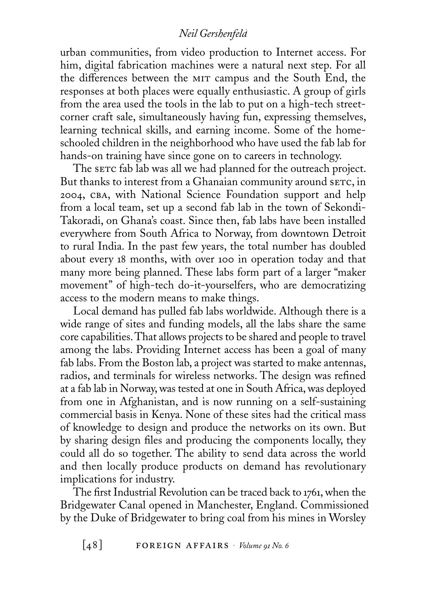urban communities, from video production to Internet access. For him, digital fabrication machines were a natural next step. For all the differences between the MIT campus and the South End, the responses at both places were equally enthusiastic. A group of girls from the area used the tools in the lab to put on a high-tech streetcorner craft sale, simultaneously having fun, expressing themselves, learning technical skills, and earning income. Some of the homeschooled children in the neighborhood who have used the fab lab for hands-on training have since gone on to careers in technology.

The serc fab lab was all we had planned for the outreach project. But thanks to interest from a Ghanaian community around serc, in 2004, cba, with National Science Foundation support and help from a local team, set up a second fab lab in the town of Sekondi-Takoradi, on Ghana's coast. Since then, fab labs have been installed everywhere from South Africa to Norway, from downtown Detroit to rural India. In the past few years, the total number has doubled about every 18 months, with over 100 in operation today and that many more being planned. These labs form part of a larger "maker movement" of high-tech do-it-yourselfers, who are democratizing access to the modern means to make things.

Local demand has pulled fab labs worldwide. Although there is a wide range of sites and funding models, all the labs share the same core capabilities. That allows projects to be shared and people to travel among the labs. Providing Internet access has been a goal of many fab labs. From the Boston lab, a project was started to make antennas, radios, and terminals for wireless networks. The design was refined at a fab lab in Norway, was tested at one in South Africa, was deployed from one in Afghanistan, and is now running on a self-sustaining commercial basis in Kenya. None of these sites had the critical mass of knowledge to design and produce the networks on its own. But by sharing design files and producing the components locally, they could all do so together. The ability to send data across the world and then locally produce products on demand has revolutionary implications for industry.

The first Industrial Revolution can be traced back to 1761, when the Bridgewater Canal opened in Manchester, England. Commissioned by the Duke of Bridgewater to bring coal from his mines in Worsley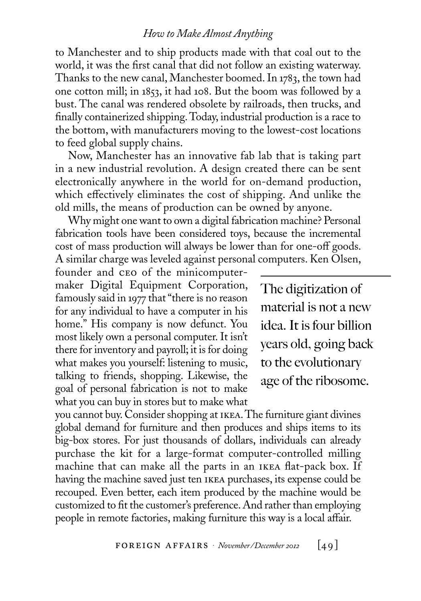to Manchester and to ship products made with that coal out to the world, it was the first canal that did not follow an existing waterway. Thanks to the new canal, Manchester boomed. In 1783, the town had one cotton mill; in 1853, it had 108. But the boom was followed by a bust. The canal was rendered obsolete by railroads, then trucks, and finally containerized shipping. Today, industrial production is a race to the bottom, with manufacturers moving to the lowest-cost locations to feed global supply chains.

Now, Manchester has an innovative fab lab that is taking part in a new industrial revolution. A design created there can be sent electronically anywhere in the world for on-demand production, which effectively eliminates the cost of shipping. And unlike the old mills, the means of production can be owned by anyone.

Why might one want to own a digital fabrication machine? Personal fabrication tools have been considered toys, because the incremental cost of mass production will always be lower than for one-off goods. A similar charge was leveled against personal computers. Ken Olsen,

founder and ceo of the minicomputermaker Digital Equipment Corporation, famously said in 1977 that "there is no reason for any individual to have a computer in his home." His company is now defunct. You most likely own a personal computer. It isn't there for inventory and payroll; it is for doing what makes you yourself: listening to music, talking to friends, shopping. Likewise, the goal of personal fabrication is not to make what you can buy in stores but to make what

The digitization of material is not a new idea. It is four billion years old, going back to the evolutionary age of the ribosome.

you cannot buy. Consider shopping at ikea. The furniture giant divines global demand for furniture and then produces and ships items to its big-box stores. For just thousands of dollars, individuals can already purchase the kit for a large-format computer-controlled milling machine that can make all the parts in an ikea flat-pack box. If having the machine saved just ten ikea purchases, its expense could be recouped. Even better, each item produced by the machine would be customized to fit the customer's preference. And rather than employing people in remote factories, making furniture this way is a local affair.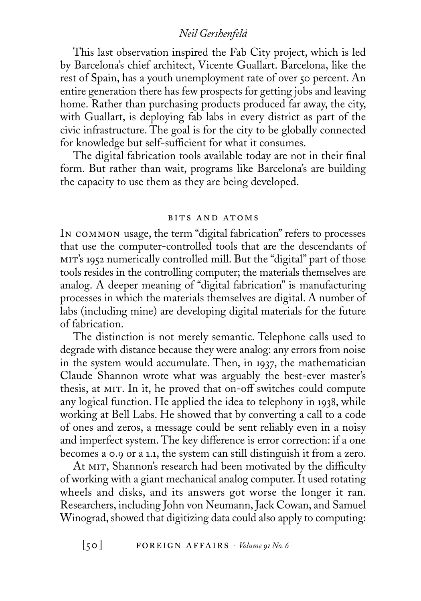This last observation inspired the Fab City project, which is led by Barcelona's chief architect, Vicente Guallart. Barcelona, like the rest of Spain, has a youth unemployment rate of over 50 percent. An entire generation there has few prospects for getting jobs and leaving home. Rather than purchasing products produced far away, the city, with Guallart, is deploying fab labs in every district as part of the civic infrastructure. The goal is for the city to be globally connected for knowledge but self-sufficient for what it consumes.

The digital fabrication tools available today are not in their final form. But rather than wait, programs like Barcelona's are building the capacity to use them as they are being developed.

#### bits and atoms

In common usage, the term "digital fabrication" refers to processes that use the computer-controlled tools that are the descendants of mit's 1952 numerically controlled mill. But the "digital" part of those tools resides in the controlling computer; the materials themselves are analog. A deeper meaning of "digital fabrication" is manufacturing processes in which the materials themselves are digital. A number of labs (including mine) are developing digital materials for the future of fabrication.

The distinction is not merely semantic. Telephone calls used to degrade with distance because they were analog: any errors from noise in the system would accumulate. Then, in 1937, the mathematician Claude Shannon wrote what was arguably the best-ever master's thesis, at MIT. In it, he proved that on-off switches could compute any logical function. He applied the idea to telephony in 1938, while working at Bell Labs. He showed that by converting a call to a code of ones and zeros, a message could be sent reliably even in a noisy and imperfect system. The key difference is error correction: if a one becomes a 0.9 or a 1.1, the system can still distinguish it from a zero.

At MIT, Shannon's research had been motivated by the difficulty of working with a giant mechanical analog computer. It used rotating wheels and disks, and its answers got worse the longer it ran. Researchers, including John von Neumann, Jack Cowan, and Samuel Winograd, showed that digitizing data could also apply to computing: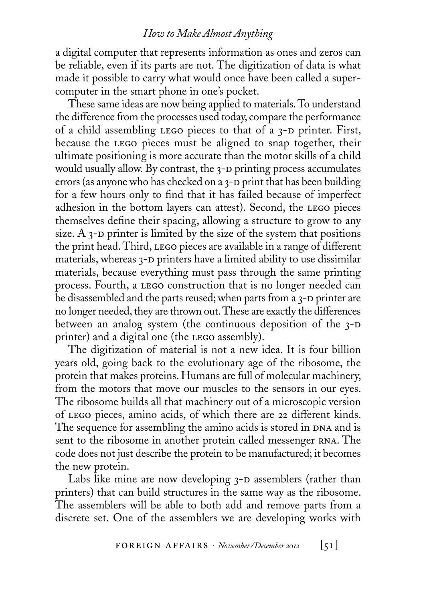a digital computer that represents information as ones and zeros can be reliable, even if its parts are not. The digitization of data is what made it possible to carry what would once have been called a supercomputer in the smart phone in one's pocket.

These same ideas are now being applied to materials. To understand the difference from the processes used today, compare the performance of a child assembling LEGO pieces to that of a  $3-D$  printer. First, because the lego pieces must be aligned to snap together, their ultimate positioning is more accurate than the motor skills of a child would usually allow. By contrast, the 3-D printing process accumulates errors (as anyone who has checked on a  $3$ -D print that has been building for a few hours only to find that it has failed because of imperfect adhesion in the bottom layers can attest). Second, the lego pieces themselves define their spacing, allowing a structure to grow to any size. A  $3$ -D printer is limited by the size of the system that positions the print head. Third, LEGO pieces are available in a range of different materials, whereas 3-D printers have a limited ability to use dissimilar materials, because everything must pass through the same printing process. Fourth, a lego construction that is no longer needed can be disassembled and the parts reused; when parts from a  $3-D$  printer are no longer needed, they are thrown out. These are exactly the differences between an analog system (the continuous deposition of the  $3-D$ printer) and a digital one (the LEGO assembly).

The digitization of material is not a new idea. It is four billion years old, going back to the evolutionary age of the ribosome, the protein that makes proteins. Humans are full of molecular machinery, from the motors that move our muscles to the sensors in our eyes. The ribosome builds all that machinery out of a microscopic version of LEGO pieces, amino acids, of which there are 22 different kinds. The sequence for assembling the amino acids is stored in DNA and is sent to the ribosome in another protein called messenger RNA. The code does not just describe the protein to be manufactured; it becomes the new protein.

Labs like mine are now developing  $3-D$  assemblers (rather than printers) that can build structures in the same way as the ribosome. The assemblers will be able to both add and remove parts from a discrete set. One of the assemblers we are developing works with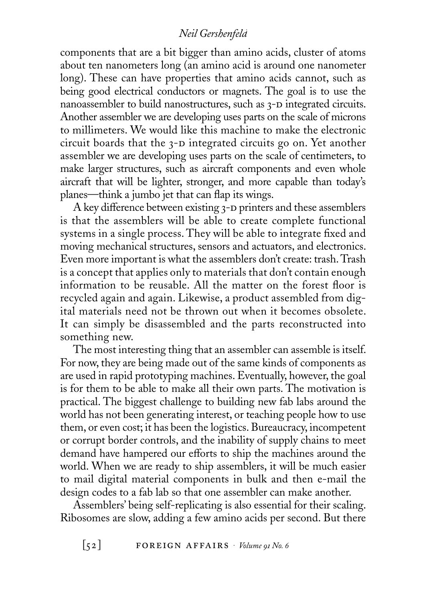components that are a bit bigger than amino acids, cluster of atoms about ten nanometers long (an amino acid is around one nanometer long). These can have properties that amino acids cannot, such as being good electrical conductors or magnets. The goal is to use the nanoassembler to build nanostructures, such as  $3-D$  integrated circuits. Another assembler we are developing uses parts on the scale of microns to millimeters. We would like this machine to make the electronic circuit boards that the  $3-D$  integrated circuits go on. Yet another assembler we are developing uses parts on the scale of centimeters, to make larger structures, such as aircraft components and even whole aircraft that will be lighter, stronger, and more capable than today's planes—think a jumbo jet that can flap its wings.

A key difference between existing 3-D printers and these assemblers is that the assemblers will be able to create complete functional systems in a single process. They will be able to integrate fixed and moving mechanical structures, sensors and actuators, and electronics. Even more important is what the assemblers don't create: trash. Trash is a concept that applies only to materials that don't contain enough information to be reusable. All the matter on the forest floor is recycled again and again. Likewise, a product assembled from digital materials need not be thrown out when it becomes obsolete. It can simply be disassembled and the parts reconstructed into something new.

The most interesting thing that an assembler can assemble is itself. For now, they are being made out of the same kinds of components as are used in rapid prototyping machines. Eventually, however, the goal is for them to be able to make all their own parts. The motivation is practical. The biggest challenge to building new fab labs around the world has not been generating interest, or teaching people how to use them, or even cost; it has been the logistics. Bureaucracy, incompetent or corrupt border controls, and the inability of supply chains to meet demand have hampered our efforts to ship the machines around the world. When we are ready to ship assemblers, it will be much easier to mail digital material components in bulk and then e-mail the design codes to a fab lab so that one assembler can make another.

Assemblers' being self-replicating is also essential for their scaling. Ribosomes are slow, adding a few amino acids per second. But there

 $\begin{bmatrix} 52 \end{bmatrix}$  **FOREIGN** AFFAIRS  $\cdot$  *Volume* 91 *No. 6*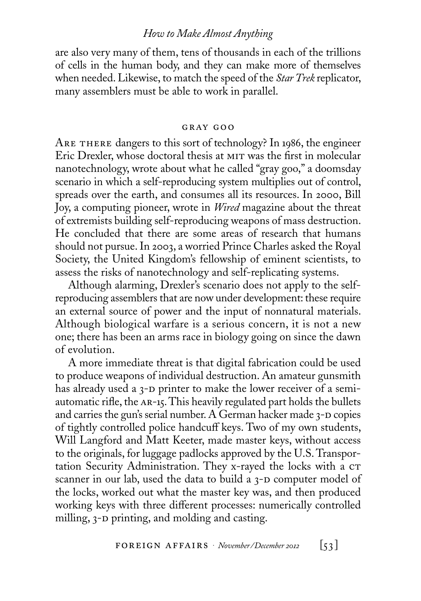are also very many of them, tens of thousands in each of the trillions of cells in the human body, and they can make more of themselves when needed. Likewise, to match the speed of the *StarTrek* replicator, many assemblers must be able to work in parallel.

#### gray goo

ARE THERE dangers to this sort of technology? In 1986, the engineer Eric Drexler, whose doctoral thesis at mit was the first in molecular nanotechnology, wrote about what he called "gray goo," a doomsday scenario in which a self-reproducing system multiplies out of control, spreads over the earth, and consumes all its resources. In 2000, Bill Joy, a computing pioneer, wrote in *Wired* magazine about the threat of extremists building self-reproducing weapons of mass destruction. He concluded that there are some areas of research that humans should not pursue. In 2003, a worried Prince Charles asked the Royal Society, the United Kingdom's fellowship of eminent scientists, to assess the risks of nanotechnology and self-replicating systems.

Although alarming, Drexler's scenario does not apply to the selfreproducing assemblers that are now under development: these require an external source of power and the input of nonnatural materials. Although biological warfare is a serious concern, it is not a new one; there has been an arms race in biology going on since the dawn of evolution.

A more immediate threat is that digital fabrication could be used to produce weapons of individual destruction. An amateur gunsmith has already used a 3-D printer to make the lower receiver of a semiautomatic rifle, the ar-15. This heavily regulated part holds the bullets and carries the gun's serial number. A German hacker made  $3-D$  copies of tightly controlled police handcuff keys. Two of my own students, Will Langford and Matt Keeter, made master keys, without access to the originals, for luggage padlocks approved by the U.S. Transportation Security Administration. They x-rayed the locks with a CT scanner in our lab, used the data to build a  $3-D$  computer model of the locks, worked out what the master key was, and then produced working keys with three different processes: numerically controlled milling, 3-D printing, and molding and casting.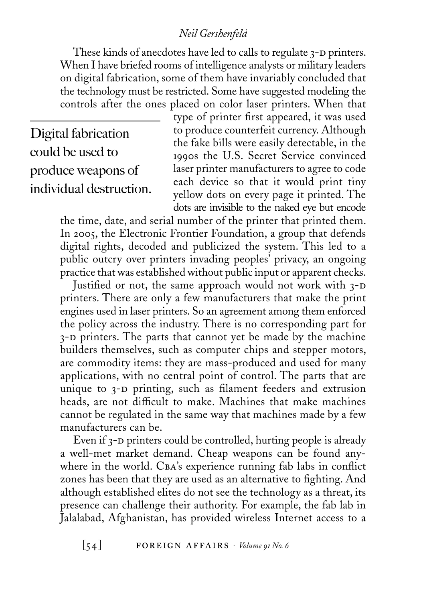These kinds of anecdotes have led to calls to regulate 3-D printers. When I have briefed rooms of intelligence analysts or military leaders on digital fabrication, some of them have invariably concluded that the technology must be restricted. Some have suggested modeling the controls after the ones placed on color laser printers. When that

Digital fabrication could be used to produce weapons of individual destruction.

type of printer first appeared, it was used to produce counterfeit currency. Although the fake bills were easily detectable, in the 1990s the U.S. Secret Service convinced laser printer manufacturers to agree to code each device so that it would print tiny yellow dots on every page it printed. The dots are invisible to the naked eye but encode

the time, date, and serial number of the printer that printed them. In 2005, the Electronic Frontier Foundation, a group that defends digital rights, decoded and publicized the system. This led to a public outcry over printers invading peoples' privacy, an ongoing practice that was established without public input or apparent checks.

Justified or not, the same approach would not work with  $3-D$ printers. There are only a few manufacturers that make the print engines used in laser printers. So an agreement among them enforced the policy across the industry. There is no corresponding part for 3-D printers. The parts that cannot yet be made by the machine builders themselves, such as computer chips and stepper motors, are commodity items: they are mass-produced and used for many applications, with no central point of control. The parts that are unique to 3-D printing, such as filament feeders and extrusion heads, are not difficult to make. Machines that make machines cannot be regulated in the same way that machines made by a few manufacturers can be.

Even if 3-D printers could be controlled, hurting people is already a well-met market demand. Cheap weapons can be found anywhere in the world. CBA's experience running fab labs in conflict zones has been that they are used as an alternative to fighting. And although established elites do not see the technology as a threat, its presence can challenge their authority. For example, the fab lab in Jalalabad, Afghanistan, has provided wireless Internet access to a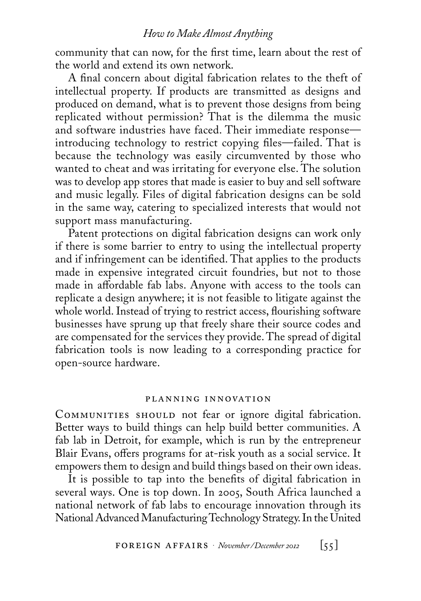community that can now, for the first time, learn about the rest of the world and extend its own network.

A final concern about digital fabrication relates to the theft of intellectual property. If products are transmitted as designs and produced on demand, what is to prevent those designs from being replicated without permission? That is the dilemma the music and software industries have faced. Their immediate response introducing technology to restrict copying files—failed. That is because the technology was easily circumvented by those who wanted to cheat and was irritating for everyone else. The solution was to develop app stores that made is easier to buy and sell software and music legally. Files of digital fabrication designs can be sold in the same way, catering to specialized interests that would not support mass manufacturing.

Patent protections on digital fabrication designs can work only if there is some barrier to entry to using the intellectual property and if infringement can be identified. That applies to the products made in expensive integrated circuit foundries, but not to those made in affordable fab labs. Anyone with access to the tools can replicate a design anywhere; it is not feasible to litigate against the whole world. Instead of trying to restrict access, flourishing software businesses have sprung up that freely share their source codes and are compensated for the services they provide. The spread of digital fabrication tools is now leading to a corresponding practice for open-source hardware.

#### planning innovation

COMMUNITIES SHOULD not fear or ignore digital fabrication. Better ways to build things can help build better communities. A fab lab in Detroit, for example, which is run by the entrepreneur Blair Evans, offers programs for at-risk youth as a social service. It empowers them to design and build things based on their own ideas.

It is possible to tap into the benefits of digital fabrication in several ways. One is top down. In 2005, South Africa launched a national network of fab labs to encourage innovation through its National Advanced Manufacturing Technology Strategy. In the United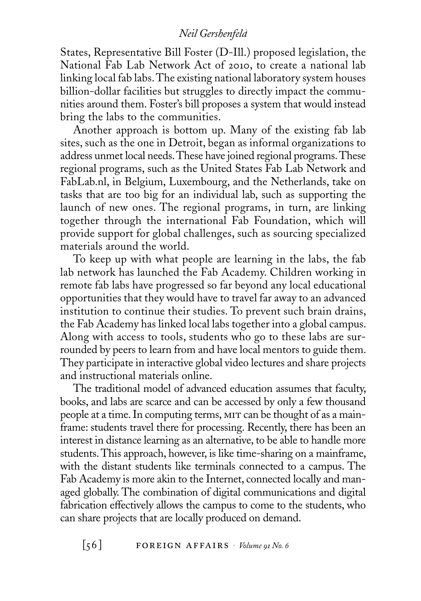States, Representative Bill Foster (D-Ill.) proposed legislation, the National Fab Lab Network Act of 2010, to create a national lab linking local fab labs. The existing national laboratory system houses billion-dollar facilities but struggles to directly impact the communities around them. Foster's bill proposes a system that would instead bring the labs to the communities.

Another approach is bottom up. Many of the existing fab lab sites, such as the one in Detroit, began as informal organizations to address unmet local needs. These have joined regional programs. These regional programs, such as the United States Fab Lab Network and FabLab.nl, in Belgium, Luxembourg, and the Netherlands, take on tasks that are too big for an individual lab, such as supporting the launch of new ones. The regional programs, in turn, are linking together through the international Fab Foundation, which will provide support for global challenges, such as sourcing specialized materials around the world.

To keep up with what people are learning in the labs, the fab lab network has launched the Fab Academy. Children working in remote fab labs have progressed so far beyond any local educational opportunities that they would have to travel far away to an advanced institution to continue their studies. To prevent such brain drains, the Fab Academy has linked local labs together into a global campus. Along with access to tools, students who go to these labs are surrounded by peers to learn from and have local mentors to guide them. They participate in interactive global video lectures and share projects and instructional materials online.

The traditional model of advanced education assumes that faculty, books, and labs are scarce and can be accessed by only a few thousand people at a time. In computing terms, mit can be thought of as a mainframe: students travel there for processing. Recently, there has been an interest in distance learning as an alternative, to be able to handle more students. This approach, however, is like time-sharing on a mainframe, with the distant students like terminals connected to a campus. The Fab Academy is more akin to the Internet, connected locally and managed globally. The combination of digital communications and digital fabrication effectively allows the campus to come to the students, who can share projects that are locally produced on demand.